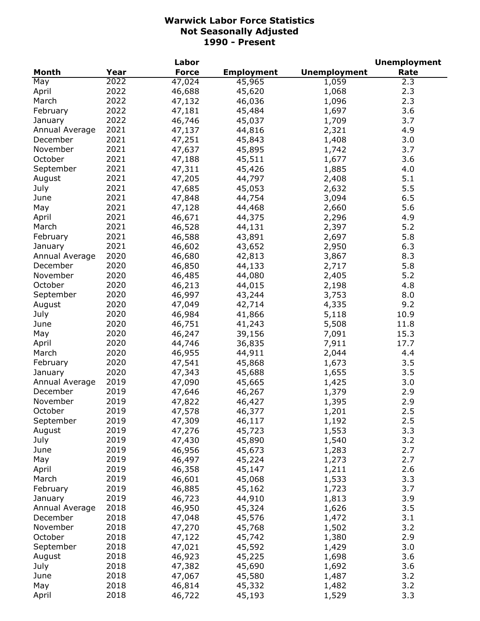|                |      | Labor        |                   |                     | <b>Unemployment</b> |
|----------------|------|--------------|-------------------|---------------------|---------------------|
| <b>Month</b>   | Year | <b>Force</b> | <b>Employment</b> | <b>Unemployment</b> | Rate                |
| May            | 2022 | 47,024       | 45,965            | 1,059               | 2.3                 |
| April          | 2022 | 46,688       | 45,620            | 1,068               | 2.3                 |
| March          | 2022 | 47,132       | 46,036            | 1,096               | 2.3                 |
| February       | 2022 | 47,181       | 45,484            | 1,697               | 3.6                 |
| January        | 2022 | 46,746       | 45,037            | 1,709               | 3.7                 |
| Annual Average | 2021 | 47,137       | 44,816            | 2,321               | 4.9                 |
| December       | 2021 | 47,251       | 45,843            | 1,408               | 3.0                 |
| November       | 2021 | 47,637       | 45,895            | 1,742               | 3.7                 |
| October        | 2021 | 47,188       | 45,511            | 1,677               | 3.6                 |
| September      | 2021 | 47,311       | 45,426            | 1,885               | 4.0                 |
| August         | 2021 | 47,205       | 44,797            | 2,408               | 5.1                 |
| July           | 2021 | 47,685       | 45,053            | 2,632               | 5.5                 |
| June           | 2021 | 47,848       | 44,754            | 3,094               | 6.5                 |
| May            | 2021 | 47,128       | 44,468            | 2,660               | 5.6                 |
| April          | 2021 | 46,671       | 44,375            | 2,296               | 4.9                 |
| March          | 2021 | 46,528       | 44,131            | 2,397               | 5.2                 |
| February       | 2021 | 46,588       | 43,891            | 2,697               | 5.8                 |
|                | 2021 |              |                   |                     | 6.3                 |
| January        | 2020 | 46,602       | 43,652            | 2,950               |                     |
| Annual Average |      | 46,680       | 42,813            | 3,867               | 8.3                 |
| December       | 2020 | 46,850       | 44,133            | 2,717               | 5.8                 |
| November       | 2020 | 46,485       | 44,080            | 2,405               | 5.2                 |
| October        | 2020 | 46,213       | 44,015            | 2,198               | 4.8                 |
| September      | 2020 | 46,997       | 43,244            | 3,753               | 8.0                 |
| August         | 2020 | 47,049       | 42,714            | 4,335               | 9.2                 |
| July           | 2020 | 46,984       | 41,866            | 5,118               | 10.9                |
| June           | 2020 | 46,751       | 41,243            | 5,508               | 11.8                |
| May            | 2020 | 46,247       | 39,156            | 7,091               | 15.3                |
| April          | 2020 | 44,746       | 36,835            | 7,911               | 17.7                |
| March          | 2020 | 46,955       | 44,911            | 2,044               | 4.4                 |
| February       | 2020 | 47,541       | 45,868            | 1,673               | 3.5                 |
| January        | 2020 | 47,343       | 45,688            | 1,655               | 3.5                 |
| Annual Average | 2019 | 47,090       | 45,665            | 1,425               | 3.0                 |
| December       | 2019 | 47,646       | 46,267            | 1,379               | 2.9                 |
| November       | 2019 | 47,822       | 46,427            | 1,395               | 2.9                 |
| October        | 2019 | 47,578       | 46,377            | 1,201               | 2.5                 |
| September      | 2019 | 47,309       | 46,117            | 1,192               | 2.5                 |
| August         | 2019 | 47,276       | 45,723            | 1,553               | 3.3                 |
| July           | 2019 | 47,430       | 45,890            | 1,540               | 3.2                 |
| June           | 2019 | 46,956       | 45,673            | 1,283               | 2.7                 |
| May            | 2019 | 46,497       | 45,224            | 1,273               | 2.7                 |
| April          | 2019 | 46,358       | 45,147            | 1,211               | 2.6                 |
| March          | 2019 | 46,601       | 45,068            | 1,533               | 3.3                 |
| February       | 2019 | 46,885       | 45,162            | 1,723               | 3.7                 |
| January        | 2019 | 46,723       | 44,910            | 1,813               | 3.9                 |
| Annual Average | 2018 | 46,950       | 45,324            | 1,626               | 3.5                 |
| December       | 2018 | 47,048       | 45,576            | 1,472               | 3.1                 |
| November       | 2018 | 47,270       | 45,768            | 1,502               | 3.2                 |
| October        | 2018 | 47,122       | 45,742            | 1,380               | 2.9                 |
| September      | 2018 | 47,021       | 45,592            | 1,429               | 3.0                 |
| August         | 2018 | 46,923       | 45,225            | 1,698               | 3.6                 |
| July           | 2018 | 47,382       | 45,690            | 1,692               | 3.6                 |
| June           | 2018 | 47,067       | 45,580            | 1,487               | 3.2                 |
| May            | 2018 | 46,814       | 45,332            | 1,482               | 3.2                 |
| April          | 2018 | 46,722       | 45,193            | 1,529               | 3.3                 |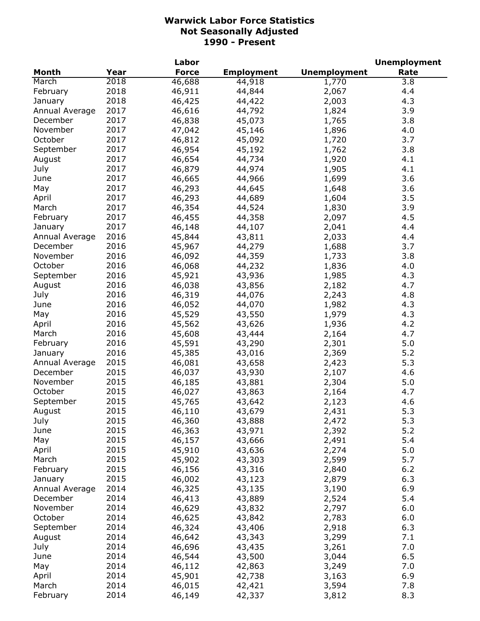|                |      | Labor        |                   |                     | <b>Unemployment</b> |
|----------------|------|--------------|-------------------|---------------------|---------------------|
| <b>Month</b>   | Year | <b>Force</b> | <b>Employment</b> | <b>Unemployment</b> | Rate                |
| March          | 2018 | 46,688       | 44,918            | $\frac{1}{7}$ 70    | 3.8                 |
| February       | 2018 | 46,911       | 44,844            | 2,067               | 4.4                 |
| January        | 2018 | 46,425       | 44,422            | 2,003               | 4.3                 |
| Annual Average | 2017 | 46,616       | 44,792            | 1,824               | 3.9                 |
| December       | 2017 | 46,838       | 45,073            | 1,765               | 3.8                 |
| November       | 2017 | 47,042       | 45,146            | 1,896               | 4.0                 |
| October        | 2017 | 46,812       | 45,092            | 1,720               | 3.7                 |
| September      | 2017 | 46,954       | 45,192            | 1,762               | 3.8                 |
| August         | 2017 | 46,654       | 44,734            | 1,920               | 4.1                 |
| July           | 2017 | 46,879       | 44,974            | 1,905               | 4.1                 |
| June           | 2017 | 46,665       | 44,966            | 1,699               | 3.6                 |
| May            | 2017 | 46,293       | 44,645            | 1,648               | 3.6                 |
| April          | 2017 | 46,293       |                   | 1,604               | 3.5                 |
|                | 2017 | 46,354       | 44,689            |                     | 3.9                 |
| March          |      |              | 44,524            | 1,830               |                     |
| February       | 2017 | 46,455       | 44,358            | 2,097               | 4.5                 |
| January        | 2017 | 46,148       | 44,107            | 2,041               | 4.4                 |
| Annual Average | 2016 | 45,844       | 43,811            | 2,033               | 4.4                 |
| December       | 2016 | 45,967       | 44,279            | 1,688               | 3.7                 |
| November       | 2016 | 46,092       | 44,359            | 1,733               | 3.8                 |
| October        | 2016 | 46,068       | 44,232            | 1,836               | 4.0                 |
| September      | 2016 | 45,921       | 43,936            | 1,985               | 4.3                 |
| August         | 2016 | 46,038       | 43,856            | 2,182               | 4.7                 |
| July           | 2016 | 46,319       | 44,076            | 2,243               | 4.8                 |
| June           | 2016 | 46,052       | 44,070            | 1,982               | 4.3                 |
| May            | 2016 | 45,529       | 43,550            | 1,979               | 4.3                 |
| April          | 2016 | 45,562       | 43,626            | 1,936               | 4.2                 |
| March          | 2016 | 45,608       | 43,444            | 2,164               | 4.7                 |
| February       | 2016 | 45,591       | 43,290            | 2,301               | 5.0                 |
| January        | 2016 | 45,385       | 43,016            | 2,369               | 5.2                 |
| Annual Average | 2015 | 46,081       | 43,658            | 2,423               | 5.3                 |
| December       | 2015 | 46,037       | 43,930            | 2,107               | 4.6                 |
| November       | 2015 | 46,185       | 43,881            | 2,304               | 5.0                 |
| October        | 2015 | 46,027       | 43,863            | 2,164               | 4.7                 |
| September      | 2015 | 45,765       | 43,642            | 2,123               | 4.6                 |
| August         | 2015 | 46,110       | 43,679            | 2,431               | 5.3                 |
| July           | 2015 | 46,360       | 43,888            | 2,472               | 5.3                 |
| June           | 2015 | 46,363       | 43,971            | 2,392               | 5.2                 |
| May            | 2015 | 46,157       | 43,666            | 2,491               | 5.4                 |
| April          | 2015 | 45,910       | 43,636            | 2,274               | 5.0                 |
| March          | 2015 | 45,902       | 43,303            | 2,599               | 5.7                 |
| February       | 2015 | 46,156       | 43,316            | 2,840               | 6.2                 |
| January        | 2015 | 46,002       | 43,123            | 2,879               | 6.3                 |
| Annual Average | 2014 | 46,325       | 43,135            | 3,190               | 6.9                 |
| December       | 2014 | 46,413       | 43,889            | 2,524               | 5.4                 |
| November       | 2014 | 46,629       | 43,832            | 2,797               | 6.0                 |
| October        |      |              |                   |                     |                     |
|                | 2014 | 46,625       | 43,842            | 2,783               | 6.0                 |
| September      | 2014 | 46,324       | 43,406            | 2,918               | 6.3                 |
| August         | 2014 | 46,642       | 43,343            | 3,299               | 7.1                 |
| July           | 2014 | 46,696       | 43,435            | 3,261               | 7.0                 |
| June           | 2014 | 46,544       | 43,500            | 3,044               | 6.5                 |
| May            | 2014 | 46,112       | 42,863            | 3,249               | 7.0                 |
| April          | 2014 | 45,901       | 42,738            | 3,163               | 6.9                 |
| March          | 2014 | 46,015       | 42,421            | 3,594               | 7.8                 |
| February       | 2014 | 46,149       | 42,337            | 3,812               | 8.3                 |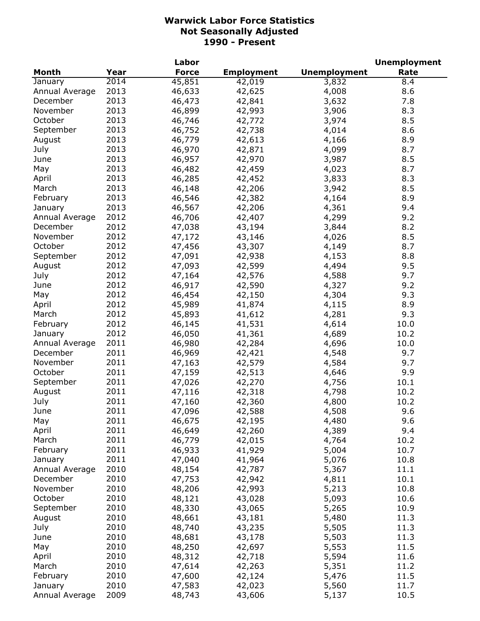|                |      | Labor        |                   |                     | <b>Unemployment</b> |
|----------------|------|--------------|-------------------|---------------------|---------------------|
| <b>Month</b>   | Year | <b>Force</b> | <b>Employment</b> | <b>Unemployment</b> | Rate                |
| January        | 2014 | 45,851       | 42,019            | 3,832               | 8.4                 |
| Annual Average | 2013 | 46,633       | 42,625            | 4,008               | 8.6                 |
| December       | 2013 | 46,473       | 42,841            | 3,632               | 7.8                 |
| November       | 2013 | 46,899       | 42,993            | 3,906               | 8.3                 |
| October        | 2013 | 46,746       | 42,772            | 3,974               | 8.5                 |
| September      | 2013 | 46,752       | 42,738            | 4,014               | 8.6                 |
| August         | 2013 | 46,779       | 42,613            | 4,166               | 8.9                 |
| July           | 2013 | 46,970       | 42,871            | 4,099               | 8.7                 |
| June           | 2013 | 46,957       | 42,970            | 3,987               | 8.5                 |
| May            | 2013 | 46,482       | 42,459            | 4,023               | 8.7                 |
| April          | 2013 | 46,285       | 42,452            | 3,833               | 8.3                 |
| March          | 2013 | 46,148       | 42,206            | 3,942               | 8.5                 |
|                | 2013 |              |                   |                     | 8.9                 |
| February       |      | 46,546       | 42,382            | 4,164               |                     |
| January        | 2013 | 46,567       | 42,206            | 4,361               | 9.4                 |
| Annual Average | 2012 | 46,706       | 42,407            | 4,299               | 9.2                 |
| December       | 2012 | 47,038       | 43,194            | 3,844               | 8.2                 |
| November       | 2012 | 47,172       | 43,146            | 4,026               | 8.5                 |
| October        | 2012 | 47,456       | 43,307            | 4,149               | 8.7                 |
| September      | 2012 | 47,091       | 42,938            | 4,153               | 8.8                 |
| August         | 2012 | 47,093       | 42,599            | 4,494               | 9.5                 |
| July           | 2012 | 47,164       | 42,576            | 4,588               | 9.7                 |
| June           | 2012 | 46,917       | 42,590            | 4,327               | 9.2                 |
| May            | 2012 | 46,454       | 42,150            | 4,304               | 9.3                 |
| April          | 2012 | 45,989       | 41,874            | 4,115               | 8.9                 |
| March          | 2012 | 45,893       | 41,612            | 4,281               | 9.3                 |
| February       | 2012 | 46,145       | 41,531            | 4,614               | 10.0                |
| January        | 2012 | 46,050       | 41,361            | 4,689               | 10.2                |
| Annual Average | 2011 | 46,980       | 42,284            | 4,696               | 10.0                |
| December       | 2011 | 46,969       | 42,421            | 4,548               | 9.7                 |
| November       | 2011 | 47,163       | 42,579            | 4,584               | 9.7                 |
| October        | 2011 | 47,159       | 42,513            | 4,646               | 9.9                 |
| September      | 2011 | 47,026       | 42,270            | 4,756               | 10.1                |
| August         | 2011 | 47,116       | 42,318            | 4,798               | 10.2                |
| July           | 2011 | 47,160       | 42,360            | 4,800               | 10.2                |
| June           | 2011 | 47,096       | 42,588            | 4,508               | 9.6                 |
| May            | 2011 | 46,675       | 42,195            | 4,480               | 9.6                 |
| April          | 2011 | 46,649       | 42,260            | 4,389               | 9.4                 |
| March          | 2011 | 46,779       | 42,015            | 4,764               | 10.2                |
| February       | 2011 | 46,933       | 41,929            | 5,004               | 10.7                |
| January        | 2011 | 47,040       | 41,964            | 5,076               | 10.8                |
| Annual Average | 2010 | 48,154       | 42,787            | 5,367               | 11.1                |
| December       | 2010 | 47,753       | 42,942            | 4,811               | 10.1                |
| November       | 2010 | 48,206       | 42,993            | 5,213               | 10.8                |
| October        | 2010 | 48,121       | 43,028            | 5,093               | 10.6                |
| September      | 2010 | 48,330       |                   | 5,265               | 10.9                |
|                | 2010 | 48,661       | 43,065            |                     | 11.3                |
| August         |      |              | 43,181            | 5,480               |                     |
| July           | 2010 | 48,740       | 43,235            | 5,505               | 11.3                |
| June           | 2010 | 48,681       | 43,178            | 5,503               | 11.3                |
| May            | 2010 | 48,250       | 42,697            | 5,553               | 11.5                |
| April          | 2010 | 48,312       | 42,718            | 5,594               | 11.6                |
| March          | 2010 | 47,614       | 42,263            | 5,351               | 11.2                |
| February       | 2010 | 47,600       | 42,124            | 5,476               | 11.5                |
| January        | 2010 | 47,583       | 42,023            | 5,560               | 11.7                |
| Annual Average | 2009 | 48,743       | 43,606            | 5,137               | 10.5                |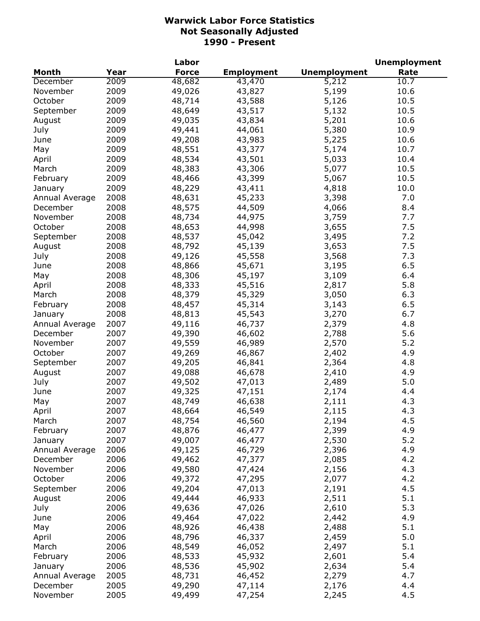|                |      | Labor        |                   |                     | <b>Unemployment</b> |
|----------------|------|--------------|-------------------|---------------------|---------------------|
| <b>Month</b>   | Year | <b>Force</b> | <b>Employment</b> | <b>Unemployment</b> | Rate                |
| December       | 2009 | 48,682       | 43,470            | 5,212               | 10.7                |
| November       | 2009 | 49,026       | 43,827            | 5,199               | 10.6                |
| October        | 2009 | 48,714       | 43,588            | 5,126               | 10.5                |
| September      | 2009 | 48,649       | 43,517            | 5,132               | 10.5                |
| August         | 2009 | 49,035       | 43,834            | 5,201               | 10.6                |
| July           | 2009 | 49,441       | 44,061            | 5,380               | 10.9                |
| June           | 2009 | 49,208       | 43,983            | 5,225               | 10.6                |
| May            | 2009 | 48,551       | 43,377            | 5,174               | 10.7                |
| April          | 2009 | 48,534       | 43,501            | 5,033               | 10.4                |
| March          | 2009 | 48,383       | 43,306            | 5,077               | 10.5                |
| February       | 2009 | 48,466       | 43,399            | 5,067               | 10.5                |
| January        | 2009 | 48,229       | 43,411            | 4,818               | 10.0                |
| Annual Average | 2008 | 48,631       | 45,233            | 3,398               | 7.0                 |
| December       | 2008 | 48,575       | 44,509            | 4,066               | 8.4                 |
| November       | 2008 | 48,734       | 44,975            | 3,759               | 7.7                 |
| October        | 2008 | 48,653       | 44,998            | 3,655               | 7.5                 |
| September      | 2008 | 48,537       | 45,042            | 3,495               | 7.2                 |
| August         | 2008 | 48,792       | 45,139            | 3,653               | 7.5                 |
|                | 2008 | 49,126       | 45,558            | 3,568               | 7.3                 |
| July           | 2008 |              |                   |                     | 6.5                 |
| June           |      | 48,866       | 45,671            | 3,195               |                     |
| May            | 2008 | 48,306       | 45,197            | 3,109               | 6.4                 |
| April          | 2008 | 48,333       | 45,516            | 2,817               | 5.8                 |
| March          | 2008 | 48,379       | 45,329            | 3,050               | 6.3                 |
| February       | 2008 | 48,457       | 45,314            | 3,143               | 6.5                 |
| January        | 2008 | 48,813       | 45,543            | 3,270               | 6.7                 |
| Annual Average | 2007 | 49,116       | 46,737            | 2,379               | 4.8                 |
| December       | 2007 | 49,390       | 46,602            | 2,788               | 5.6                 |
| November       | 2007 | 49,559       | 46,989            | 2,570               | 5.2                 |
| October        | 2007 | 49,269       | 46,867            | 2,402               | 4.9                 |
| September      | 2007 | 49,205       | 46,841            | 2,364               | 4.8                 |
| August         | 2007 | 49,088       | 46,678            | 2,410               | 4.9                 |
| July           | 2007 | 49,502       | 47,013            | 2,489               | 5.0                 |
| June           | 2007 | 49,325       | 47,151            | 2,174               | 4.4                 |
| May            | 2007 | 48,749       | 46,638            | 2,111               | 4.3                 |
| April          | 2007 | 48,664       | 46,549            | 2,115               | 4.3                 |
| March          | 2007 | 48,754       | 46,560            | 2,194               | 4.5                 |
| February       | 2007 | 48,876       | 46,477            | 2,399               | 4.9                 |
| January        | 2007 | 49,007       | 46,477            | 2,530               | 5.2                 |
| Annual Average | 2006 | 49,125       | 46,729            | 2,396               | 4.9                 |
| December       | 2006 | 49,462       | 47,377            | 2,085               | 4.2                 |
| November       | 2006 | 49,580       | 47,424            | 2,156               | 4.3                 |
| October        | 2006 | 49,372       | 47,295            | 2,077               | 4.2                 |
| September      | 2006 | 49,204       | 47,013            | 2,191               | 4.5                 |
| August         | 2006 | 49,444       | 46,933            | 2,511               | 5.1                 |
| July           | 2006 | 49,636       | 47,026            | 2,610               | 5.3                 |
| June           | 2006 | 49,464       | 47,022            | 2,442               | 4.9                 |
| May            | 2006 | 48,926       | 46,438            | 2,488               | 5.1                 |
|                | 2006 |              |                   |                     | 5.0                 |
| April          |      | 48,796       | 46,337            | 2,459               |                     |
| March          | 2006 | 48,549       | 46,052            | 2,497               | 5.1                 |
| February       | 2006 | 48,533       | 45,932            | 2,601               | 5.4                 |
| January        | 2006 | 48,536       | 45,902            | 2,634               | 5.4                 |
| Annual Average | 2005 | 48,731       | 46,452            | 2,279               | 4.7                 |
| December       | 2005 | 49,290       | 47,114            | 2,176               | 4.4                 |
| November       | 2005 | 49,499       | 47,254            | 2,245               | 4.5                 |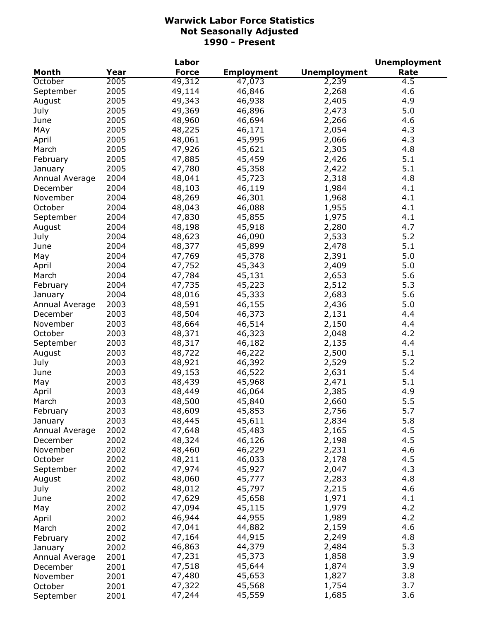|                |      | Labor        |                   |                     | <b>Unemployment</b> |
|----------------|------|--------------|-------------------|---------------------|---------------------|
| <b>Month</b>   | Year | <b>Force</b> | <b>Employment</b> | <b>Unemployment</b> | Rate                |
| October        | 2005 | 49,312       | 47,073            | 2,239               | 4.5                 |
| September      | 2005 | 49,114       | 46,846            | 2,268               | 4.6                 |
| August         | 2005 | 49,343       | 46,938            | 2,405               | 4.9                 |
| July           | 2005 | 49,369       | 46,896            | 2,473               | 5.0                 |
| June           | 2005 | 48,960       | 46,694            | 2,266               | 4.6                 |
| MAy            | 2005 | 48,225       | 46,171            | 2,054               | 4.3                 |
| April          | 2005 | 48,061       | 45,995            | 2,066               | 4.3                 |
| March          | 2005 | 47,926       | 45,621            | 2,305               | 4.8                 |
| February       | 2005 | 47,885       | 45,459            | 2,426               | 5.1                 |
| January        | 2005 | 47,780       | 45,358            | 2,422               | 5.1                 |
| Annual Average | 2004 | 48,041       | 45,723            | 2,318               | 4.8                 |
| December       | 2004 | 48,103       | 46,119            | 1,984               | 4.1                 |
| November       | 2004 | 48,269       | 46,301            | 1,968               | 4.1                 |
| October        | 2004 | 48,043       | 46,088            | 1,955               | 4.1                 |
| September      | 2004 | 47,830       | 45,855            | 1,975               | 4.1                 |
| August         | 2004 | 48,198       | 45,918            | 2,280               | 4.7                 |
| July           | 2004 | 48,623       | 46,090            | 2,533               | 5.2                 |
| June           | 2004 | 48,377       | 45,899            | 2,478               | 5.1                 |
|                | 2004 |              | 45,378            | 2,391               | 5.0                 |
| May            |      | 47,769       |                   |                     |                     |
| April          | 2004 | 47,752       | 45,343            | 2,409               | 5.0                 |
| March          | 2004 | 47,784       | 45,131            | 2,653               | 5.6                 |
| February       | 2004 | 47,735       | 45,223            | 2,512               | 5.3                 |
| January        | 2004 | 48,016       | 45,333            | 2,683               | 5.6                 |
| Annual Average | 2003 | 48,591       | 46,155            | 2,436               | 5.0                 |
| December       | 2003 | 48,504       | 46,373            | 2,131               | 4.4                 |
| November       | 2003 | 48,664       | 46,514            | 2,150               | 4.4                 |
| October        | 2003 | 48,371       | 46,323            | 2,048               | 4.2                 |
| September      | 2003 | 48,317       | 46,182            | 2,135               | 4.4                 |
| August         | 2003 | 48,722       | 46,222            | 2,500               | 5.1                 |
| July           | 2003 | 48,921       | 46,392            | 2,529               | 5.2                 |
| June           | 2003 | 49,153       | 46,522            | 2,631               | 5.4                 |
| May            | 2003 | 48,439       | 45,968            | 2,471               | 5.1                 |
| April          | 2003 | 48,449       | 46,064            | 2,385               | 4.9                 |
| March          | 2003 | 48,500       | 45,840            | 2,660               | 5.5                 |
| February       | 2003 | 48,609       | 45,853            | 2,756               | 5.7                 |
| January        | 2003 | 48,445       | 45,611            | 2,834               | 5.8                 |
| Annual Average | 2002 | 47,648       | 45,483            | 2,165               | 4.5                 |
| December       | 2002 | 48,324       | 46,126            | 2,198               | 4.5                 |
| November       | 2002 | 48,460       | 46,229            | 2,231               | 4.6                 |
| October        | 2002 | 48,211       | 46,033            | 2,178               | 4.5                 |
| September      | 2002 | 47,974       | 45,927            | 2,047               | 4.3                 |
| August         | 2002 | 48,060       | 45,777            | 2,283               | 4.8                 |
| July           | 2002 | 48,012       | 45,797            | 2,215               | 4.6                 |
| June           | 2002 | 47,629       | 45,658            | 1,971               | 4.1                 |
| May            | 2002 | 47,094       | 45,115            | 1,979               | 4.2                 |
| April          | 2002 | 46,944       | 44,955            | 1,989               | 4.2                 |
| March          | 2002 | 47,041       | 44,882            | 2,159               | 4.6                 |
| February       | 2002 | 47,164       | 44,915            | 2,249               | 4.8                 |
| January        | 2002 | 46,863       | 44,379            | 2,484               | 5.3                 |
| Annual Average | 2001 | 47,231       | 45,373            | 1,858               | 3.9                 |
| December       | 2001 | 47,518       | 45,644            | 1,874               | 3.9                 |
| November       | 2001 | 47,480       | 45,653            | 1,827               | 3.8                 |
| October        | 2001 | 47,322       | 45,568            | 1,754               | 3.7                 |
| September      | 2001 | 47,244       | 45,559            | 1,685               | 3.6                 |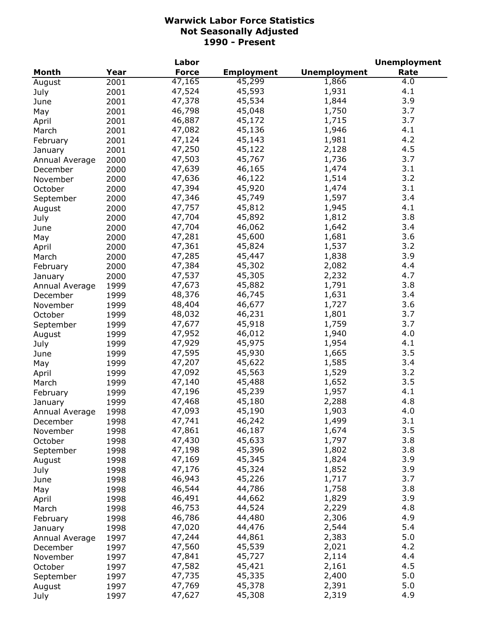|                |      | Labor        |                   |                     | <b>Unemployment</b> |
|----------------|------|--------------|-------------------|---------------------|---------------------|
| <b>Month</b>   | Year | <b>Force</b> | <b>Employment</b> | <b>Unemployment</b> | Rate                |
| August         | 2001 | 47,165       | 45,299            | 1,866               | 4.0                 |
| July           | 2001 | 47,524       | 45,593            | 1,931               | 4.1                 |
| June           | 2001 | 47,378       | 45,534            | 1,844               | 3.9                 |
| May            | 2001 | 46,798       | 45,048            | 1,750               | 3.7                 |
| April          | 2001 | 46,887       | 45,172            | 1,715               | 3.7                 |
| March          | 2001 | 47,082       | 45,136            | 1,946               | 4.1                 |
| February       | 2001 | 47,124       | 45,143            | 1,981               | 4.2                 |
| January        | 2001 | 47,250       | 45,122            | 2,128               | 4.5                 |
| Annual Average | 2000 | 47,503       | 45,767            | 1,736               | 3.7                 |
| December       | 2000 | 47,639       | 46,165            | 1,474               | 3.1                 |
| November       | 2000 | 47,636       | 46,122            | 1,514               | 3.2                 |
| October        | 2000 | 47,394       | 45,920            | 1,474               | 3.1                 |
|                | 2000 | 47,346       | 45,749            | 1,597               | 3.4                 |
| September      |      | 47,757       | 45,812            | 1,945               | 4.1                 |
| August         | 2000 | 47,704       | 45,892            |                     | 3.8                 |
| July           | 2000 |              |                   | 1,812               |                     |
| June           | 2000 | 47,704       | 46,062            | 1,642               | 3.4                 |
| May            | 2000 | 47,281       | 45,600            | 1,681               | 3.6                 |
| April          | 2000 | 47,361       | 45,824            | 1,537               | 3.2                 |
| March          | 2000 | 47,285       | 45,447            | 1,838               | 3.9                 |
| February       | 2000 | 47,384       | 45,302            | 2,082               | 4.4                 |
| January        | 2000 | 47,537       | 45,305            | 2,232               | 4.7                 |
| Annual Average | 1999 | 47,673       | 45,882            | 1,791               | 3.8                 |
| December       | 1999 | 48,376       | 46,745            | 1,631               | 3.4                 |
| November       | 1999 | 48,404       | 46,677            | 1,727               | 3.6                 |
| October        | 1999 | 48,032       | 46,231            | 1,801               | 3.7                 |
| September      | 1999 | 47,677       | 45,918            | 1,759               | 3.7                 |
| August         | 1999 | 47,952       | 46,012            | 1,940               | 4.0                 |
| July           | 1999 | 47,929       | 45,975            | 1,954               | 4.1                 |
| June           | 1999 | 47,595       | 45,930            | 1,665               | 3.5                 |
| May            | 1999 | 47,207       | 45,622            | 1,585               | 3.4                 |
| April          | 1999 | 47,092       | 45,563            | 1,529               | 3.2                 |
| March          | 1999 | 47,140       | 45,488            | 1,652               | 3.5                 |
| February       | 1999 | 47,196       | 45,239            | 1,957               | 4.1                 |
| January        | 1999 | 47,468       | 45,180            | 2,288               | 4.8                 |
| Annual Average | 1998 | 47,093       | 45,190            | 1,903               | 4.0                 |
| December       | 1998 | 47,741       | 46,242            | 1,499               | 3.1                 |
| November       | 1998 | 47,861       | 46,187            | 1,674               | 3.5                 |
| October        | 1998 | 47,430       | 45,633            | 1,797               | 3.8                 |
| September      | 1998 | 47,198       | 45,396            | 1,802               | 3.8                 |
| August         | 1998 | 47,169       | 45,345            | 1,824               | 3.9                 |
| July           | 1998 | 47,176       | 45,324            | 1,852               | 3.9                 |
| June           | 1998 | 46,943       | 45,226            | 1,717               | 3.7                 |
| May            | 1998 | 46,544       | 44,786            | 1,758               | 3.8                 |
| April          | 1998 | 46,491       | 44,662            | 1,829               | 3.9                 |
| March          | 1998 | 46,753       | 44,524            | 2,229               | 4.8                 |
|                |      | 46,786       | 44,480            | 2,306               | 4.9                 |
| February       | 1998 | 47,020       | 44,476            | 2,544               | 5.4                 |
| January        | 1998 |              |                   |                     | 5.0                 |
| Annual Average | 1997 | 47,244       | 44,861            | 2,383               |                     |
| December       | 1997 | 47,560       | 45,539            | 2,021               | 4.2                 |
| November       | 1997 | 47,841       | 45,727            | 2,114               | 4.4                 |
| October        | 1997 | 47,582       | 45,421            | 2,161               | 4.5                 |
| September      | 1997 | 47,735       | 45,335            | 2,400               | 5.0                 |
| August         | 1997 | 47,769       | 45,378            | 2,391               | 5.0                 |
| July           | 1997 | 47,627       | 45,308            | 2,319               | 4.9                 |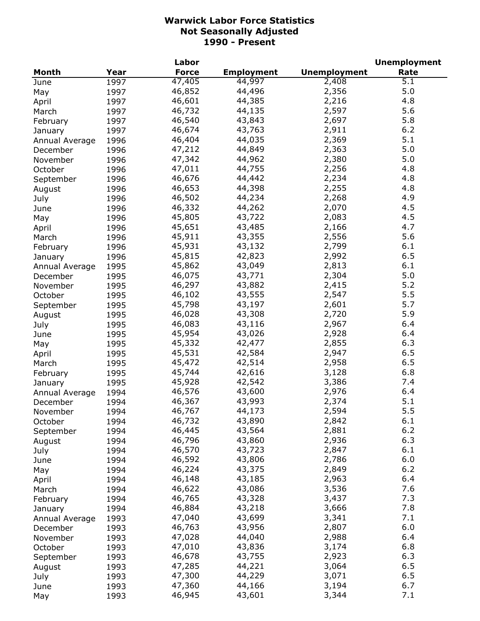|                |      | Labor        |                   |                     | <b>Unemployment</b> |
|----------------|------|--------------|-------------------|---------------------|---------------------|
| <b>Month</b>   | Year | <b>Force</b> | <b>Employment</b> | <b>Unemployment</b> | Rate                |
| June           | 1997 | 47,405       | 44,997            | 2,408               | $\overline{5.1}$    |
| May            | 1997 | 46,852       | 44,496            | 2,356               | 5.0                 |
| April          | 1997 | 46,601       | 44,385            | 2,216               | 4.8                 |
| March          | 1997 | 46,732       | 44,135            | 2,597               | 5.6                 |
| February       | 1997 | 46,540       | 43,843            | 2,697               | 5.8                 |
| January        | 1997 | 46,674       | 43,763            | 2,911               | 6.2                 |
| Annual Average | 1996 | 46,404       | 44,035            | 2,369               | 5.1                 |
| December       | 1996 | 47,212       | 44,849            | 2,363               | 5.0                 |
| November       | 1996 | 47,342       | 44,962            | 2,380               | 5.0                 |
| October        | 1996 | 47,011       | 44,755            | 2,256               | 4.8                 |
| September      | 1996 | 46,676       | 44,442            | 2,234               | 4.8                 |
| August         | 1996 | 46,653       | 44,398            | 2,255               | 4.8                 |
|                | 1996 | 46,502       | 44,234            | 2,268               | 4.9                 |
| July           | 1996 | 46,332       | 44,262            | 2,070               | 4.5                 |
| June           |      | 45,805       | 43,722            | 2,083               | 4.5                 |
| May            | 1996 | 45,651       | 43,485            | 2,166               | 4.7                 |
| April          | 1996 |              |                   |                     | 5.6                 |
| March          | 1996 | 45,911       | 43,355            | 2,556               |                     |
| February       | 1996 | 45,931       | 43,132            | 2,799               | 6.1                 |
| January        | 1996 | 45,815       | 42,823            | 2,992               | 6.5                 |
| Annual Average | 1995 | 45,862       | 43,049            | 2,813               | 6.1                 |
| December       | 1995 | 46,075       | 43,771            | 2,304               | 5.0                 |
| November       | 1995 | 46,297       | 43,882            | 2,415               | 5.2                 |
| October        | 1995 | 46,102       | 43,555            | 2,547               | 5.5                 |
| September      | 1995 | 45,798       | 43,197            | 2,601               | 5.7                 |
| August         | 1995 | 46,028       | 43,308            | 2,720               | 5.9                 |
| July           | 1995 | 46,083       | 43,116            | 2,967               | 6.4                 |
| June           | 1995 | 45,954       | 43,026            | 2,928               | 6.4                 |
| May            | 1995 | 45,332       | 42,477            | 2,855               | 6.3                 |
| April          | 1995 | 45,531       | 42,584            | 2,947               | 6.5                 |
| March          | 1995 | 45,472       | 42,514            | 2,958               | 6.5                 |
| February       | 1995 | 45,744       | 42,616            | 3,128               | 6.8                 |
| January        | 1995 | 45,928       | 42,542            | 3,386               | 7.4                 |
| Annual Average | 1994 | 46,576       | 43,600            | 2,976               | 6.4                 |
| December       | 1994 | 46,367       | 43,993            | 2,374               | 5.1                 |
| November       | 1994 | 46,767       | 44,173            | 2,594               | 5.5                 |
| October        | 1994 | 46,732       | 43,890            | 2,842               | 6.1                 |
| September      | 1994 | 46,445       | 43,564            | 2,881               | $6.2$               |
| August         | 1994 | 46,796       | 43,860            | 2,936               | 6.3                 |
| July           | 1994 | 46,570       | 43,723            | 2,847               | 6.1                 |
| June           | 1994 | 46,592       | 43,806            | 2,786               | 6.0                 |
| May            | 1994 | 46,224       | 43,375            | 2,849               | $6.2$               |
| April          | 1994 | 46,148       | 43,185            | 2,963               | 6.4                 |
| March          | 1994 | 46,622       | 43,086            | 3,536               | 7.6                 |
| February       | 1994 | 46,765       | 43,328            | 3,437               | 7.3                 |
| January        | 1994 | 46,884       | 43,218            | 3,666               | 7.8                 |
|                | 1993 | 47,040       | 43,699            | 3,341               | 7.1                 |
| Annual Average |      | 46,763       | 43,956            | 2,807               | 6.0                 |
| December       | 1993 |              | 44,040            |                     | 6.4                 |
| November       | 1993 | 47,028       |                   | 2,988               | 6.8                 |
| October        | 1993 | 47,010       | 43,836            | 3,174               |                     |
| September      | 1993 | 46,678       | 43,755            | 2,923               | 6.3                 |
| August         | 1993 | 47,285       | 44,221            | 3,064               | 6.5                 |
| July           | 1993 | 47,300       | 44,229            | 3,071               | 6.5                 |
| June           | 1993 | 47,360       | 44,166            | 3,194               | 6.7                 |
| May            | 1993 | 46,945       | 43,601            | 3,344               | 7.1                 |